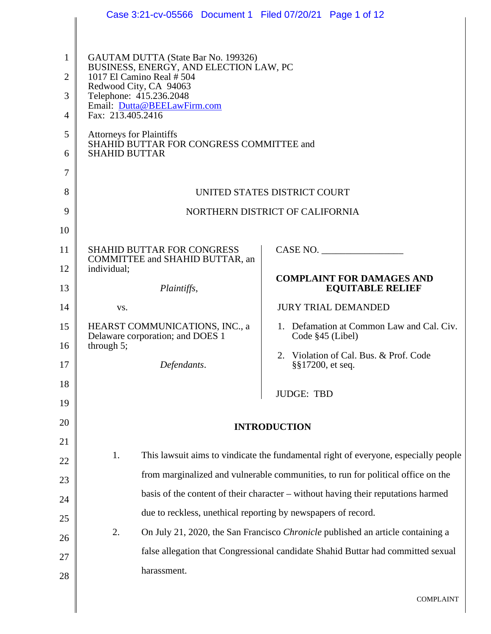|                     | Case 3:21-cv-05566 Document 1 Filed 07/20/21 Page 1 of 12                                                  |                                                                                     |
|---------------------|------------------------------------------------------------------------------------------------------------|-------------------------------------------------------------------------------------|
|                     |                                                                                                            |                                                                                     |
| 1<br>$\overline{2}$ | GAUTAM DUTTA (State Bar No. 199326)<br>BUSINESS, ENERGY, AND ELECTION LAW, PC<br>1017 El Camino Real # 504 |                                                                                     |
| 3                   | Redwood City, CA 94063<br>Telephone: 415.236.2048                                                          |                                                                                     |
| $\overline{4}$      | Email: Dutta@BEELawFirm.com<br>Fax: 213.405.2416                                                           |                                                                                     |
| 5                   | <b>Attorneys for Plaintiffs</b>                                                                            |                                                                                     |
| 6                   | SHAHID BUTTAR FOR CONGRESS COMMITTEE and<br><b>SHAHID BUTTAR</b>                                           |                                                                                     |
| 7                   |                                                                                                            |                                                                                     |
| 8                   |                                                                                                            | UNITED STATES DISTRICT COURT                                                        |
| 9                   |                                                                                                            | NORTHERN DISTRICT OF CALIFORNIA                                                     |
| 10                  |                                                                                                            |                                                                                     |
| 11                  | <b>SHAHID BUTTAR FOR CONGRESS</b><br>COMMITTEE and SHAHID BUTTAR, an                                       | CASE NO.                                                                            |
| 12                  | individual;                                                                                                | <b>COMPLAINT FOR DAMAGES AND</b>                                                    |
| 13                  | Plaintiffs,                                                                                                | <b>EQUITABLE RELIEF</b>                                                             |
| 14                  | VS.                                                                                                        | <b>JURY TRIAL DEMANDED</b>                                                          |
| 15                  | HEARST COMMUNICATIONS, INC., a<br>Delaware corporation; and DOES 1                                         | 1. Defamation at Common Law and Cal. Civ.<br>Code $§45$ (Libel)                     |
| 16                  | through $5$ ;                                                                                              | 2. Violation of Cal. Bus. & Prof. Code                                              |
| 17                  | Defendants.                                                                                                | §§17200, et seq.                                                                    |
| 18                  |                                                                                                            | <b>JUDGE: TBD</b>                                                                   |
| 19                  |                                                                                                            |                                                                                     |
| 20                  |                                                                                                            | <b>INTRODUCTION</b>                                                                 |
| 21                  |                                                                                                            |                                                                                     |
| 22                  | 1.                                                                                                         | This lawsuit aims to vindicate the fundamental right of everyone, especially people |
| 23                  |                                                                                                            | from marginalized and vulnerable communities, to run for political office on the    |
| 24                  |                                                                                                            | basis of the content of their character – without having their reputations harmed   |
| 25                  | due to reckless, unethical reporting by newspapers of record.                                              |                                                                                     |
| 26                  | 2.                                                                                                         | On July 21, 2020, the San Francisco Chronicle published an article containing a     |
| 27                  |                                                                                                            | false allegation that Congressional candidate Shahid Buttar had committed sexual    |
| 28                  | harassment.                                                                                                |                                                                                     |
|                     |                                                                                                            | <b>COMPLAINT</b>                                                                    |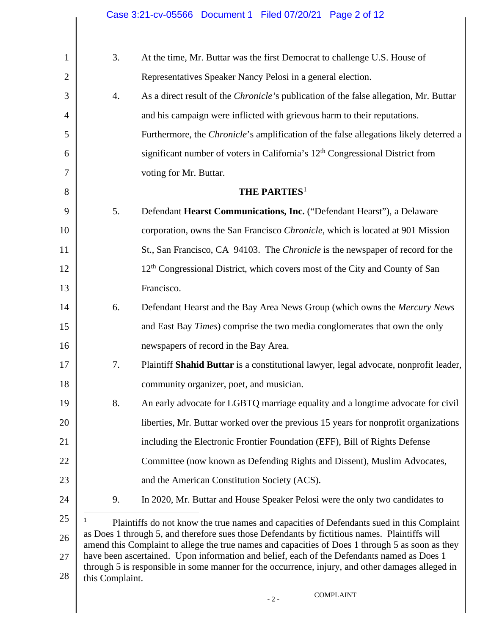| 1              | 3.              | At the time, Mr. Buttar was the first Democrat to challenge U.S. House of                                                                                                                         |
|----------------|-----------------|---------------------------------------------------------------------------------------------------------------------------------------------------------------------------------------------------|
| $\overline{2}$ |                 | Representatives Speaker Nancy Pelosi in a general election.                                                                                                                                       |
| 3              | 4.              | As a direct result of the <i>Chronicle's</i> publication of the false allegation, Mr. Buttar                                                                                                      |
| 4              |                 | and his campaign were inflicted with grievous harm to their reputations.                                                                                                                          |
| 5              |                 | Furthermore, the <i>Chronicle</i> 's amplification of the false allegations likely deterred a                                                                                                     |
| 6              |                 | significant number of voters in California's 12 <sup>th</sup> Congressional District from                                                                                                         |
| 7              |                 | voting for Mr. Buttar.                                                                                                                                                                            |
| 8              |                 | <b>THE PARTIES</b> <sup>1</sup>                                                                                                                                                                   |
| 9              | 5.              | Defendant Hearst Communications, Inc. ("Defendant Hearst"), a Delaware                                                                                                                            |
| 10             |                 | corporation, owns the San Francisco Chronicle, which is located at 901 Mission                                                                                                                    |
| 11             |                 | St., San Francisco, CA 94103. The <i>Chronicle</i> is the newspaper of record for the                                                                                                             |
| 12             |                 | 12 <sup>th</sup> Congressional District, which covers most of the City and County of San                                                                                                          |
| 13             |                 | Francisco.                                                                                                                                                                                        |
| 14             | 6.              | Defendant Hearst and the Bay Area News Group (which owns the Mercury News                                                                                                                         |
| 15             |                 | and East Bay Times) comprise the two media conglomerates that own the only                                                                                                                        |
| 16             |                 | newspapers of record in the Bay Area.                                                                                                                                                             |
| 17             | 7.              | Plaintiff Shahid Buttar is a constitutional lawyer, legal advocate, nonprofit leader,                                                                                                             |
| 18             |                 | community organizer, poet, and musician.                                                                                                                                                          |
| 19             | 8.              | An early advocate for LGBTQ marriage equality and a longtime advocate for civil                                                                                                                   |
| 20             |                 | liberties, Mr. Buttar worked over the previous 15 years for nonprofit organizations                                                                                                               |
| 21             |                 | including the Electronic Frontier Foundation (EFF), Bill of Rights Defense                                                                                                                        |
| 22             |                 | Committee (now known as Defending Rights and Dissent), Muslim Advocates,                                                                                                                          |
| 23             |                 | and the American Constitution Society (ACS).                                                                                                                                                      |
| 24             | 9.              | In 2020, Mr. Buttar and House Speaker Pelosi were the only two candidates to                                                                                                                      |
| 25             | 1               | Plaintiffs do not know the true names and capacities of Defendants sued in this Complaint                                                                                                         |
| 26             |                 | as Does 1 through 5, and therefore sues those Defendants by fictitious names. Plaintiffs will<br>amend this Complaint to allege the true names and capacities of Does 1 through 5 as soon as they |
| 27             |                 | have been ascertained. Upon information and belief, each of the Defendants named as Does 1<br>through 5 is responsible in some manner for the occurrence, injury, and other damages alleged in    |
| 28             | this Complaint. |                                                                                                                                                                                                   |
|                |                 | <b>COMPLAINT</b><br>$-2-$                                                                                                                                                                         |

<span id="page-1-0"></span> $\parallel$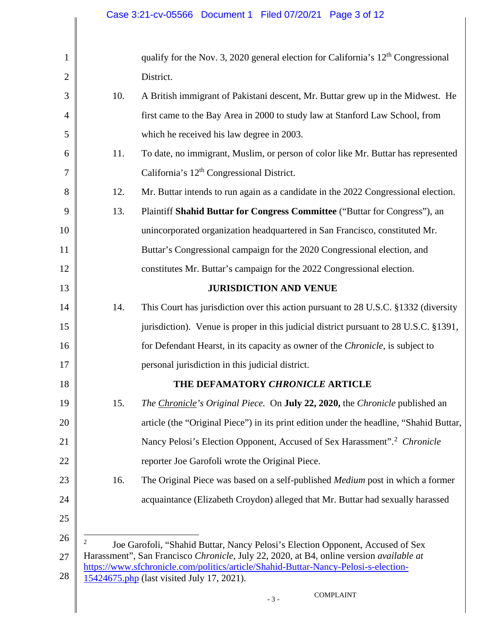<span id="page-2-0"></span>

| 1              |     | qualify for the Nov. 3, 2020 general election for California's $12th$ Congressional                                                                                            |
|----------------|-----|--------------------------------------------------------------------------------------------------------------------------------------------------------------------------------|
| $\overline{2}$ |     | District.                                                                                                                                                                      |
| 3              | 10. | A British immigrant of Pakistani descent, Mr. Buttar grew up in the Midwest. He                                                                                                |
| $\overline{4}$ |     | first came to the Bay Area in 2000 to study law at Stanford Law School, from                                                                                                   |
| 5              |     | which he received his law degree in 2003.                                                                                                                                      |
| 6              | 11. | To date, no immigrant, Muslim, or person of color like Mr. Buttar has represented                                                                                              |
| 7              |     | California's 12 <sup>th</sup> Congressional District.                                                                                                                          |
| 8              | 12. | Mr. Buttar intends to run again as a candidate in the 2022 Congressional election.                                                                                             |
| 9              | 13. | Plaintiff Shahid Buttar for Congress Committee ("Buttar for Congress"), an                                                                                                     |
| 10             |     | unincorporated organization headquartered in San Francisco, constituted Mr.                                                                                                    |
| 11             |     | Buttar's Congressional campaign for the 2020 Congressional election, and                                                                                                       |
| 12             |     | constitutes Mr. Buttar's campaign for the 2022 Congressional election.                                                                                                         |
| 13             |     | <b>JURISDICTION AND VENUE</b>                                                                                                                                                  |
| 14             | 14. | This Court has jurisdiction over this action pursuant to 28 U.S.C. §1332 (diversity                                                                                            |
| 15             |     | jurisdiction). Venue is proper in this judicial district pursuant to 28 U.S.C. §1391,                                                                                          |
| 16             |     | for Defendant Hearst, in its capacity as owner of the Chronicle, is subject to                                                                                                 |
| 17             |     | personal jurisdiction in this judicial district.                                                                                                                               |
| 18             |     | THE DEFAMATORY CHRONICLE ARTICLE                                                                                                                                               |
| 19             | 15. | The Chronicle's Original Piece. On <b>July 22, 2020</b> , the Chronicle published an                                                                                           |
| 20             |     | article (the "Original Piece") in its print edition under the headline, "Shahid Buttar,                                                                                        |
| 21             |     | Nancy Pelosi's Election Opponent, Accused of Sex Harassment". <sup>2</sup> Chronicle                                                                                           |
| 22             |     | reporter Joe Garofoli wrote the Original Piece.                                                                                                                                |
| 23             | 16. | The Original Piece was based on a self-published <i>Medium</i> post in which a former                                                                                          |
| 24             |     | acquaintance (Elizabeth Croydon) alleged that Mr. Buttar had sexually harassed                                                                                                 |
| 25             |     |                                                                                                                                                                                |
| 26             | 2   | Joe Garofoli, "Shahid Buttar, Nancy Pelosi's Election Opponent, Accused of Sex                                                                                                 |
| 27             |     | Harassment", San Francisco Chronicle, July 22, 2020, at B4, online version available at<br>https://www.sfchronicle.com/politics/article/Shahid-Buttar-Nancy-Pelosi-s-election- |
| 28             |     | 15424675.php (last visited July 17, 2021).                                                                                                                                     |
|                |     | <b>COMPLAINT</b><br>$-3-$                                                                                                                                                      |
|                |     |                                                                                                                                                                                |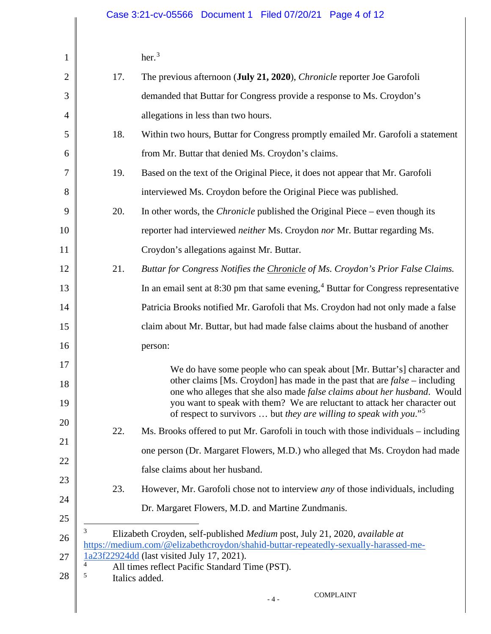her.[3](#page-3-0)

<span id="page-3-2"></span><span id="page-3-1"></span><span id="page-3-0"></span>

| 1              |        | her. <sup>3</sup>                                                                                                                                                                                                                       |
|----------------|--------|-----------------------------------------------------------------------------------------------------------------------------------------------------------------------------------------------------------------------------------------|
| $\overline{2}$ | 17.    | The previous afternoon (July 21, 2020), Chronicle reporter Joe Garofoli                                                                                                                                                                 |
| 3              |        | demanded that Buttar for Congress provide a response to Ms. Croydon's                                                                                                                                                                   |
| $\overline{4}$ |        | allegations in less than two hours.                                                                                                                                                                                                     |
| 5              | 18.    | Within two hours, Buttar for Congress promptly emailed Mr. Garofoli a statement                                                                                                                                                         |
| 6              |        | from Mr. Buttar that denied Ms. Croydon's claims.                                                                                                                                                                                       |
| 7              | 19.    | Based on the text of the Original Piece, it does not appear that Mr. Garofoli                                                                                                                                                           |
| 8              |        | interviewed Ms. Croydon before the Original Piece was published.                                                                                                                                                                        |
| 9              | 20.    | In other words, the <i>Chronicle</i> published the Original Piece – even though its                                                                                                                                                     |
| 10             |        | reporter had interviewed <i>neither</i> Ms. Croydon nor Mr. Buttar regarding Ms.                                                                                                                                                        |
| 11             |        | Croydon's allegations against Mr. Buttar.                                                                                                                                                                                               |
| 12             | 21.    | Buttar for Congress Notifies the Chronicle of Ms. Croydon's Prior False Claims.                                                                                                                                                         |
| 13             |        | In an email sent at $8:30$ pm that same evening, $4$ Buttar for Congress representative                                                                                                                                                 |
| 14             |        | Patricia Brooks notified Mr. Garofoli that Ms. Croydon had not only made a false                                                                                                                                                        |
| 15             |        | claim about Mr. Buttar, but had made false claims about the husband of another                                                                                                                                                          |
| 16             |        | person:                                                                                                                                                                                                                                 |
| 17<br>18       |        | We do have some people who can speak about [Mr. Buttar's] character and<br>other claims [Ms. Croydon] has made in the past that are $false$ - including                                                                                 |
| 19             |        | one who alleges that she also made false claims about her husband. Would<br>you want to speak with them? We are reluctant to attack her character out<br>of respect to survivors  but they are willing to speak with you." <sup>5</sup> |
| 20             | 22.    | Ms. Brooks offered to put Mr. Garofoli in touch with those individuals – including                                                                                                                                                      |
| 21             |        | one person (Dr. Margaret Flowers, M.D.) who alleged that Ms. Croydon had made                                                                                                                                                           |
| 22             |        | false claims about her husband.                                                                                                                                                                                                         |
| 23             | 23.    | However, Mr. Garofoli chose not to interview <i>any</i> of those individuals, including                                                                                                                                                 |
| 24             |        | Dr. Margaret Flowers, M.D. and Martine Zundmanis.                                                                                                                                                                                       |
| 25             | 3      |                                                                                                                                                                                                                                         |
| 26             |        | Elizabeth Croyden, self-published Medium post, July 21, 2020, available at<br>https://medium.com/@elizabethcroydon/shahid-buttar-repeatedly-sexually-harassed-me-                                                                       |
| 27<br>28       | 4<br>5 | 1a23f22924dd (last visited July 17, 2021).<br>All times reflect Pacific Standard Time (PST).<br>Italics added.                                                                                                                          |
|                |        | <b>COMPLAINT</b><br>$-4-$                                                                                                                                                                                                               |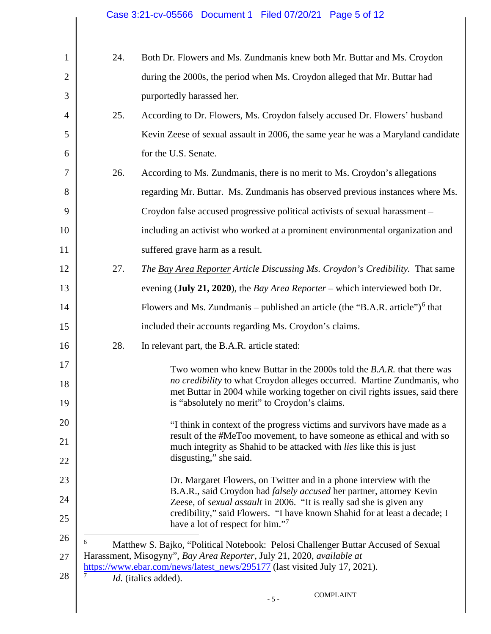<span id="page-4-1"></span><span id="page-4-0"></span>

| $\mathbf{1}$   | 24. | Both Dr. Flowers and Ms. Zundmanis knew both Mr. Buttar and Ms. Croydon                                                                                                                                                                                          |
|----------------|-----|------------------------------------------------------------------------------------------------------------------------------------------------------------------------------------------------------------------------------------------------------------------|
| $\overline{2}$ |     | during the 2000s, the period when Ms. Croydon alleged that Mr. Buttar had                                                                                                                                                                                        |
| 3              |     | purportedly harassed her.                                                                                                                                                                                                                                        |
| $\overline{4}$ | 25. | According to Dr. Flowers, Ms. Croydon falsely accused Dr. Flowers' husband                                                                                                                                                                                       |
| 5              |     | Kevin Zeese of sexual assault in 2006, the same year he was a Maryland candidate                                                                                                                                                                                 |
| 6              |     | for the U.S. Senate.                                                                                                                                                                                                                                             |
| 7              | 26. | According to Ms. Zundmanis, there is no merit to Ms. Croydon's allegations                                                                                                                                                                                       |
| 8              |     | regarding Mr. Buttar. Ms. Zundmanis has observed previous instances where Ms.                                                                                                                                                                                    |
| 9              |     | Croydon false accused progressive political activists of sexual harassment –                                                                                                                                                                                     |
| 10             |     | including an activist who worked at a prominent environmental organization and                                                                                                                                                                                   |
| 11             |     | suffered grave harm as a result.                                                                                                                                                                                                                                 |
| 12             | 27. | The Bay Area Reporter Article Discussing Ms. Croydon's Credibility. That same                                                                                                                                                                                    |
| 13             |     | evening (July 21, 2020), the <i>Bay Area Reporter</i> – which interviewed both Dr.                                                                                                                                                                               |
| 14             |     | Flowers and Ms. Zundmanis – published an article (the "B.A.R. article") $6$ that                                                                                                                                                                                 |
| 15             |     | included their accounts regarding Ms. Croydon's claims.                                                                                                                                                                                                          |
| 16             | 28. | In relevant part, the B.A.R. article stated:                                                                                                                                                                                                                     |
| 17             |     | Two women who knew Buttar in the 2000s told the B.A.R. that there was                                                                                                                                                                                            |
| 18<br>19       |     | no credibility to what Croydon alleges occurred. Martine Zundmanis, who<br>met Buttar in 2004 while working together on civil rights issues, said there<br>is "absolutely no merit" to Croydon's claims.                                                         |
| 20             |     | "I think in context of the progress victims and survivors have made as a                                                                                                                                                                                         |
| 21             |     | result of the #MeToo movement, to have someone as ethical and with so<br>much integrity as Shahid to be attacked with <i>lies</i> like this is just                                                                                                              |
| 22             |     | disgusting," she said.                                                                                                                                                                                                                                           |
| 23             |     | Dr. Margaret Flowers, on Twitter and in a phone interview with the                                                                                                                                                                                               |
| 24             |     | B.A.R., said Croydon had <i>falsely accused</i> her partner, attorney Kevin<br>Zeese, of sexual assault in 2006. "It is really sad she is given any                                                                                                              |
| 25             |     | credibility," said Flowers. "I have known Shahid for at least a decade; I<br>have a lot of respect for him."7                                                                                                                                                    |
| 26<br>27<br>28 | 6   | Matthew S. Bajko, "Political Notebook: Pelosi Challenger Buttar Accused of Sexual<br>Harassment, Misogyny", Bay Area Reporter, July 21, 2020, available at<br>https://www.ebar.com/news/latest_news/295177 (last visited July 17, 2021).<br>Id. (italics added). |
|                |     | <b>COMPLAINT</b><br>$-5-$                                                                                                                                                                                                                                        |
|                |     |                                                                                                                                                                                                                                                                  |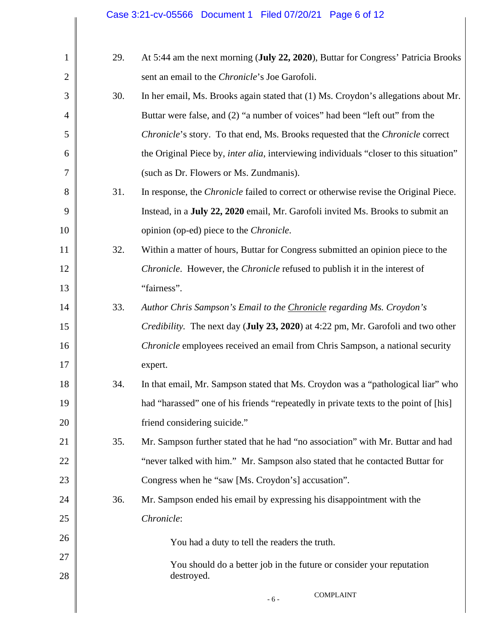| 1              | 29. | At 5:44 am the next morning (July 22, 2020), Buttar for Congress' Patricia Brooks              |
|----------------|-----|------------------------------------------------------------------------------------------------|
| $\overline{2}$ |     | sent an email to the Chronicle's Joe Garofoli.                                                 |
| 3              | 30. | In her email, Ms. Brooks again stated that (1) Ms. Croydon's allegations about Mr.             |
| 4              |     | Buttar were false, and (2) "a number of voices" had been "left out" from the                   |
| 5              |     | Chronicle's story. To that end, Ms. Brooks requested that the Chronicle correct                |
| 6              |     | the Original Piece by, <i>inter alia</i> , interviewing individuals "closer to this situation" |
| 7              |     | (such as Dr. Flowers or Ms. Zundmanis).                                                        |
| 8              | 31. | In response, the <i>Chronicle</i> failed to correct or otherwise revise the Original Piece.    |
| 9              |     | Instead, in a July 22, 2020 email, Mr. Garofoli invited Ms. Brooks to submit an                |
| 10             |     | opinion (op-ed) piece to the <i>Chronicle</i> .                                                |
| 11             | 32. | Within a matter of hours, Buttar for Congress submitted an opinion piece to the                |
| 12             |     | <i>Chronicle.</i> However, the <i>Chronicle</i> refused to publish it in the interest of       |
| 13             |     | "fairness".                                                                                    |
| 14             | 33. | Author Chris Sampson's Email to the Chronicle regarding Ms. Croydon's                          |
| 15             |     | <i>Credibility.</i> The next day (July 23, 2020) at 4:22 pm, Mr. Garofoli and two other        |
| 16             |     | <i>Chronicle</i> employees received an email from Chris Sampson, a national security           |
| 17             |     | expert.                                                                                        |
| 18             | 34. | In that email, Mr. Sampson stated that Ms. Croydon was a "pathological liar" who               |
| 19             |     | had "harassed" one of his friends "repeatedly in private texts to the point of [his]           |
| 20             |     | friend considering suicide."                                                                   |
| 21             | 35. | Mr. Sampson further stated that he had "no association" with Mr. Buttar and had                |
| 22             |     | "never talked with him." Mr. Sampson also stated that he contacted Buttar for                  |
| 23             |     | Congress when he "saw [Ms. Croydon's] accusation".                                             |
| 24             | 36. | Mr. Sampson ended his email by expressing his disappointment with the                          |
| 25             |     | Chronicle:                                                                                     |
| 26             |     | You had a duty to tell the readers the truth.                                                  |
| 27             |     | You should do a better job in the future or consider your reputation                           |
| 28             |     | destroyed.                                                                                     |
|                |     | <b>COMPLAINT</b><br>$-6-$                                                                      |
|                |     |                                                                                                |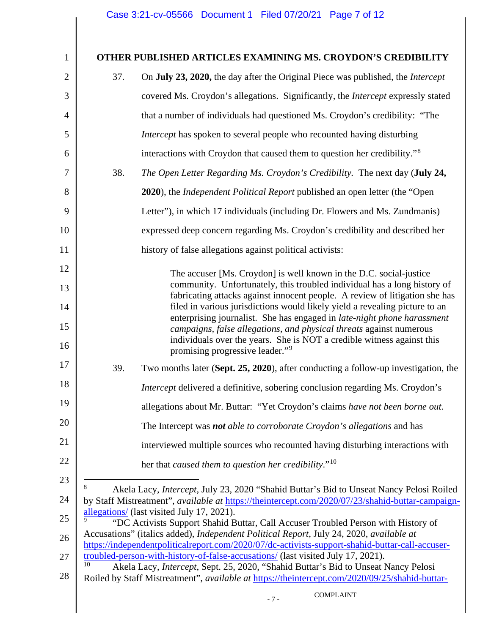## <span id="page-6-2"></span><span id="page-6-1"></span><span id="page-6-0"></span>1 2 3 4 5 6 7 8 9 10 11 12 13 14 15 16 17 18 19 20 21 22 23 24 25 26 27 28 - 7 - COMPLAINT **OTHER PUBLISHED ARTICLES EXAMINING MS. CROYDON'S CREDIBILITY** 37. On **July 23, 2020,** the day after the Original Piece was published, the *Intercept*  covered Ms. Croydon's allegations. Significantly, the *Intercept* expressly stated that a number of individuals had questioned Ms. Croydon's credibility: "The *Intercept* has spoken to several people who recounted having disturbing interactions with Croydon that caused them to question her credibility."[8](#page-6-0) 38. *The Open Letter Regarding Ms. Croydon's Credibility.* The next day (**July 24, 2020**), the *Independent Political Report* published an open letter (the "Open Letter"), in which 17 individuals (including Dr. Flowers and Ms. Zundmanis) expressed deep concern regarding Ms. Croydon's credibility and described her history of false allegations against political activists: The accuser [Ms. Croydon] is well known in the D.C. social-justice community. Unfortunately, this troubled individual has a long history of fabricating attacks against innocent people. A review of litigation she has filed in various jurisdictions would likely yield a revealing picture to an enterprising journalist. She has engaged in *late-night phone harassment campaigns, false allegations, and physical threats* against numerous individuals over the years. She is NOT a credible witness against this promising progressive leader."[9](#page-6-1) 39. Two months later (**Sept. 25, 2020**), after conducting a follow-up investigation, the *Intercept* delivered a definitive, sobering conclusion regarding Ms. Croydon's allegations about Mr. Buttar: "Yet Croydon's claims *have not been borne out*. The Intercept was *not able to corroborate Croydon's allegations* and has interviewed multiple sources who recounted having disturbing interactions with her that *caused them to question her credibility*."[10](#page-6-2) 8 Akela Lacy, *Intercept*, July 23, 2020 "Shahid Buttar's Bid to Unseat Nancy Pelosi Roiled by Staff Mistreatment", *available at* [https://theintercept.com/2020/07/23/shahid-buttar-campaign](https://theintercept.com/2020/07/23/shahid-buttar-campaign-allegations/)[allegations/](https://theintercept.com/2020/07/23/shahid-buttar-campaign-allegations/) (last visited July 17, 2021). 9 "DC Activists Support Shahid Buttar, Call Accuser Troubled Person with History of Accusations" (italics added), *Independent Political Report*, July 24, 2020, *available at* [https://independentpoliticalreport.com/2020/07/dc-activists-support-shahid-buttar-call-accuser](https://independentpoliticalreport.com/2020/07/dc-activists-support-shahid-buttar-call-accuser-troubled-person-with-history-of-false-accusations/)[troubled-person-with-history-of-false-accusations/](https://independentpoliticalreport.com/2020/07/dc-activists-support-shahid-buttar-call-accuser-troubled-person-with-history-of-false-accusations/) (last visited July 17, 2021). Akela Lacy, *Intercept*, Sept. 25, 2020, "Shahid Buttar's Bid to Unseat Nancy Pelosi Roiled by Staff Mistreatment", *available at* [https://theintercept.com/2020/09/25/shahid-buttar-](https://theintercept.com/2020/09/25/shahid-buttar-dsa-san-francisco-allegations/)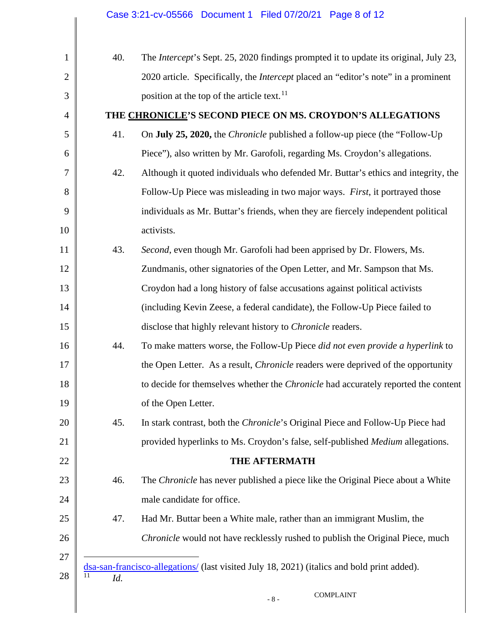<span id="page-7-0"></span>

| $\mathbf{1}$   | 40.       | The <i>Intercept</i> 's Sept. 25, 2020 findings prompted it to update its original, July 23, |
|----------------|-----------|----------------------------------------------------------------------------------------------|
| $\overline{2}$ |           | 2020 article. Specifically, the <i>Intercept</i> placed an "editor's note" in a prominent    |
| 3              |           | position at the top of the article text. <sup>11</sup>                                       |
| $\overline{4}$ |           | THE CHRONICLE'S SECOND PIECE ON MS. CROYDON'S ALLEGATIONS                                    |
| 5              | 41.       | On July 25, 2020, the <i>Chronicle</i> published a follow-up piece (the "Follow-Up"          |
| 6              |           | Piece"), also written by Mr. Garofoli, regarding Ms. Croydon's allegations.                  |
| 7              | 42.       | Although it quoted individuals who defended Mr. Buttar's ethics and integrity, the           |
| 8              |           | Follow-Up Piece was misleading in two major ways. First, it portrayed those                  |
| 9              |           | individuals as Mr. Buttar's friends, when they are fiercely independent political            |
| 10             |           | activists.                                                                                   |
| 11             | 43.       | Second, even though Mr. Garofoli had been apprised by Dr. Flowers, Ms.                       |
| 12             |           | Zundmanis, other signatories of the Open Letter, and Mr. Sampson that Ms.                    |
| 13             |           | Croydon had a long history of false accusations against political activists                  |
| 14             |           | (including Kevin Zeese, a federal candidate), the Follow-Up Piece failed to                  |
| 15             |           | disclose that highly relevant history to <i>Chronicle</i> readers.                           |
| 16             | 44.       | To make matters worse, the Follow-Up Piece did not even provide a hyperlink to               |
| 17             |           | the Open Letter. As a result, <i>Chronicle</i> readers were deprived of the opportunity      |
| 18             |           | to decide for themselves whether the <i>Chronicle</i> had accurately reported the content    |
| 19             |           | of the Open Letter.                                                                          |
| 20             | 45.       | In stark contrast, both the <i>Chronicle</i> 's Original Piece and Follow-Up Piece had       |
| 21             |           | provided hyperlinks to Ms. Croydon's false, self-published Medium allegations.               |
| 22             |           | THE AFTERMATH                                                                                |
| 23             | 46.       | The Chronicle has never published a piece like the Original Piece about a White              |
| 24             |           | male candidate for office.                                                                   |
| 25             | 47.       | Had Mr. Buttar been a White male, rather than an immigrant Muslim, the                       |
| 26             |           | Chronicle would not have recklessly rushed to publish the Original Piece, much               |
| 27             |           |                                                                                              |
| 28             | 11<br>Id. | dsa-san-francisco-allegations/ (last visited July 18, 2021) (italics and bold print added).  |
|                |           | <b>COMPLAINT</b><br>- 8 -                                                                    |
|                |           |                                                                                              |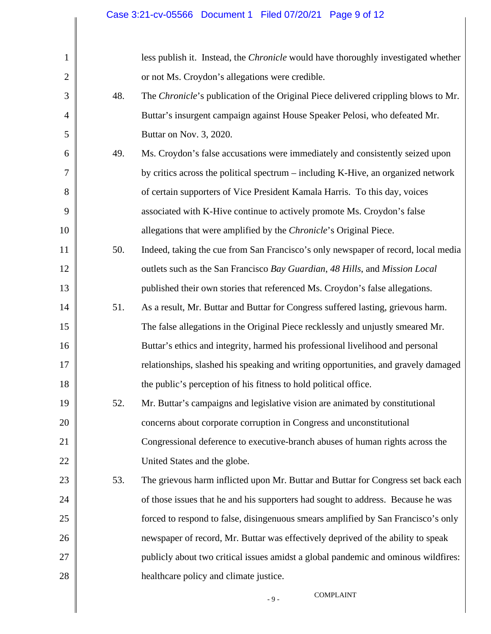| $\mathbf{1}$   |     | less publish it. Instead, the <i>Chronicle</i> would have thoroughly investigated whether |
|----------------|-----|-------------------------------------------------------------------------------------------|
| $\overline{2}$ |     | or not Ms. Croydon's allegations were credible.                                           |
| 3              | 48. | The Chronicle's publication of the Original Piece delivered crippling blows to Mr.        |
| $\overline{4}$ |     | Buttar's insurgent campaign against House Speaker Pelosi, who defeated Mr.                |
| 5              |     | Buttar on Nov. 3, 2020.                                                                   |
| 6              | 49. | Ms. Croydon's false accusations were immediately and consistently seized upon             |
| 7              |     | by critics across the political spectrum – including K-Hive, an organized network         |
| 8              |     | of certain supporters of Vice President Kamala Harris. To this day, voices                |
| 9              |     | associated with K-Hive continue to actively promote Ms. Croydon's false                   |
| 10             |     | allegations that were amplified by the <i>Chronicle</i> 's Original Piece.                |
| 11             | 50. | Indeed, taking the cue from San Francisco's only newspaper of record, local media         |
| 12             |     | outlets such as the San Francisco Bay Guardian, 48 Hills, and Mission Local               |
| 13             |     | published their own stories that referenced Ms. Croydon's false allegations.              |
| 14             | 51. | As a result, Mr. Buttar and Buttar for Congress suffered lasting, grievous harm.          |
| 15             |     | The false allegations in the Original Piece recklessly and unjustly smeared Mr.           |
| 16             |     | Buttar's ethics and integrity, harmed his professional livelihood and personal            |
| 17             |     | relationships, slashed his speaking and writing opportunities, and gravely damaged        |
| 18             |     | the public's perception of his fitness to hold political office.                          |
| 19             | 52. | Mr. Buttar's campaigns and legislative vision are animated by constitutional              |
| 20             |     | concerns about corporate corruption in Congress and unconstitutional                      |
| 21             |     | Congressional deference to executive-branch abuses of human rights across the             |
| 22             |     | United States and the globe.                                                              |
| 23             | 53. | The grievous harm inflicted upon Mr. Buttar and Buttar for Congress set back each         |
| 24             |     | of those issues that he and his supporters had sought to address. Because he was          |
| 25             |     | forced to respond to false, disingenuous smears amplified by San Francisco's only         |
| 26             |     | newspaper of record, Mr. Buttar was effectively deprived of the ability to speak          |
| 27             |     | publicly about two critical issues amidst a global pandemic and ominous wildfires:        |
| 28             |     | healthcare policy and climate justice.                                                    |
|                |     | <b>COMPLAINT</b><br>$-9-$                                                                 |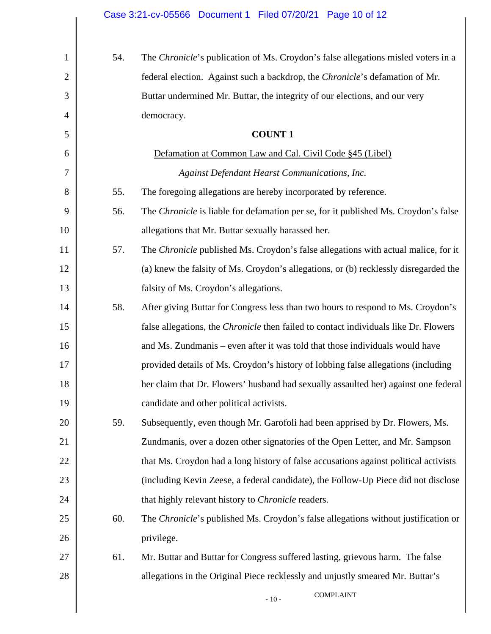| $\mathbf{1}$   | 54. | The Chronicle's publication of Ms. Croydon's false allegations misled voters in a           |
|----------------|-----|---------------------------------------------------------------------------------------------|
| $\overline{2}$ |     | federal election. Against such a backdrop, the Chronicle's defamation of Mr.                |
| 3              |     | Buttar undermined Mr. Buttar, the integrity of our elections, and our very                  |
| 4              |     | democracy.                                                                                  |
| 5              |     | <b>COUNT1</b>                                                                               |
| 6              |     | Defamation at Common Law and Cal. Civil Code §45 (Libel)                                    |
| 7              |     | Against Defendant Hearst Communications, Inc.                                               |
| 8              | 55. | The foregoing allegations are hereby incorporated by reference.                             |
| 9              | 56. | The Chronicle is liable for defamation per se, for it published Ms. Croydon's false         |
| 10             |     | allegations that Mr. Buttar sexually harassed her.                                          |
| 11             | 57. | The Chronicle published Ms. Croydon's false allegations with actual malice, for it          |
| 12             |     | (a) knew the falsity of Ms. Croydon's allegations, or (b) recklessly disregarded the        |
| 13             |     | falsity of Ms. Croydon's allegations.                                                       |
| 14             | 58. | After giving Buttar for Congress less than two hours to respond to Ms. Croydon's            |
| 15             |     | false allegations, the <i>Chronicle</i> then failed to contact individuals like Dr. Flowers |
| 16             |     | and Ms. Zundmanis – even after it was told that those individuals would have                |
| 17             |     | provided details of Ms. Croydon's history of lobbing false allegations (including           |
| 18             |     | her claim that Dr. Flowers' husband had sexually assaulted her) against one federal         |
| 19             |     | candidate and other political activists.                                                    |
| 20             | 59. | Subsequently, even though Mr. Garofoli had been apprised by Dr. Flowers, Ms.                |
| 21             |     | Zundmanis, over a dozen other signatories of the Open Letter, and Mr. Sampson               |
| 22             |     | that Ms. Croydon had a long history of false accusations against political activists        |
| 23             |     | (including Kevin Zeese, a federal candidate), the Follow-Up Piece did not disclose          |
| 24             |     | that highly relevant history to Chronicle readers.                                          |
| 25             | 60. | The Chronicle's published Ms. Croydon's false allegations without justification or          |
| 26             |     | privilege.                                                                                  |
| 27             | 61. | Mr. Buttar and Buttar for Congress suffered lasting, grievous harm. The false               |
| 28             |     | allegations in the Original Piece recklessly and unjustly smeared Mr. Buttar's              |
|                |     | <b>COMPLAINT</b><br>$-10-$                                                                  |
|                |     |                                                                                             |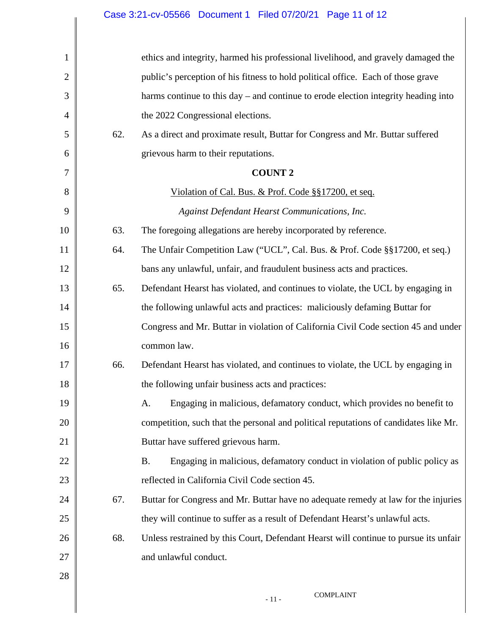| 1              |     | ethics and integrity, harmed his professional livelihood, and gravely damaged the       |
|----------------|-----|-----------------------------------------------------------------------------------------|
| $\overline{2}$ |     | public's perception of his fitness to hold political office. Each of those grave        |
| 3              |     | harms continue to this day – and continue to erode election integrity heading into      |
| $\overline{4}$ |     | the 2022 Congressional elections.                                                       |
| 5              | 62. | As a direct and proximate result, Buttar for Congress and Mr. Buttar suffered           |
| 6              |     | grievous harm to their reputations.                                                     |
| 7              |     | <b>COUNT 2</b>                                                                          |
| 8              |     | Violation of Cal. Bus. & Prof. Code §§17200, et seq.                                    |
| 9              |     | Against Defendant Hearst Communications, Inc.                                           |
| 10             | 63. | The foregoing allegations are hereby incorporated by reference.                         |
| 11             | 64. | The Unfair Competition Law ("UCL", Cal. Bus. & Prof. Code §§17200, et seq.)             |
| 12             |     | bans any unlawful, unfair, and fraudulent business acts and practices.                  |
| 13             | 65. | Defendant Hearst has violated, and continues to violate, the UCL by engaging in         |
| 14             |     | the following unlawful acts and practices: maliciously defaming Buttar for              |
| 15             |     | Congress and Mr. Buttar in violation of California Civil Code section 45 and under      |
| 16             |     | common law.                                                                             |
| 17             | 66. | Defendant Hearst has violated, and continues to violate, the UCL by engaging in         |
| 18             |     | the following unfair business acts and practices:                                       |
| 19             |     | A. Engaging in malicious, defamatory conduct, which provides no benefit to              |
| 20             |     | competition, such that the personal and political reputations of candidates like Mr.    |
| 21             |     | Buttar have suffered grievous harm.                                                     |
| 22             |     | Engaging in malicious, defamatory conduct in violation of public policy as<br><b>B.</b> |
| 23             |     | reflected in California Civil Code section 45.                                          |
| 24             | 67. | Buttar for Congress and Mr. Buttar have no adequate remedy at law for the injuries      |
| 25             |     | they will continue to suffer as a result of Defendant Hearst's unlawful acts.           |
| 26             | 68. | Unless restrained by this Court, Defendant Hearst will continue to pursue its unfair    |
| 27             |     | and unlawful conduct.                                                                   |
| 28             |     |                                                                                         |
|                |     | <b>COMPLAINT</b><br>$\sim 11$ –                                                         |
|                |     |                                                                                         |